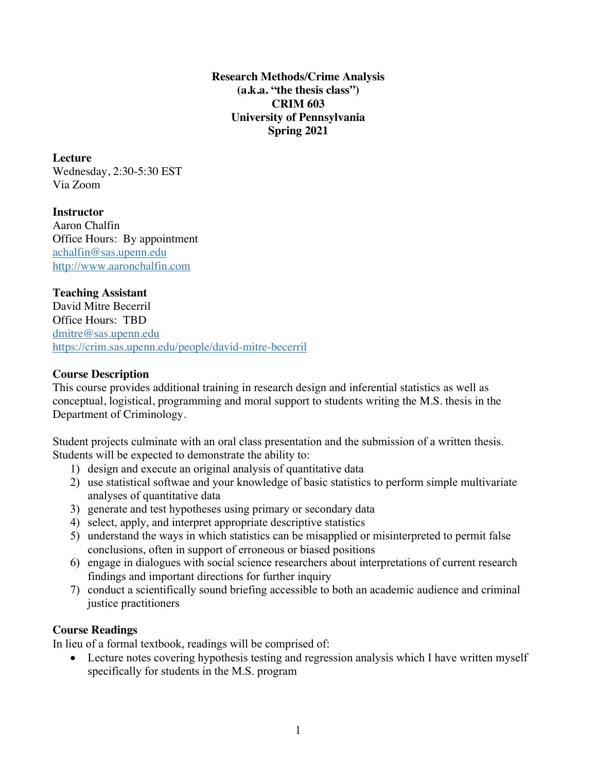**Research Methods/Crime Analysis (a.k.a. "the thesis class") CRIM 603 University of Pennsylvania Spring 2021**

**Lecture** Wednesday, 2:30-5:30 EST Via Zoom

**Instructor** Aaron Chalfin Office Hours: By appointment achalfin@sas.upenn.edu http://www.aaronchalfin.com

## **Teaching Assistant**

David Mitre Becerril Office Hours: TBD dmitre@sas.upenn.edu https://crim.sas.upenn.edu/people/david-mitre-becerril

#### **Course Description**

This course provides additional training in research design and inferential statistics as well as conceptual, logistical, programming and moral support to students writing the M.S. thesis in the Department of Criminology.

Student projects culminate with an oral class presentation and the submission of a written thesis. Students will be expected to demonstrate the ability to:

- 1) design and execute an original analysis of quantitative data
- 2) use statistical softwae and your knowledge of basic statistics to perform simple multivariate analyses of quantitative data
- 3) generate and test hypotheses using primary or secondary data
- 4) select, apply, and interpret appropriate descriptive statistics
- 5) understand the ways in which statistics can be misapplied or misinterpreted to permit false conclusions, often in support of erroneous or biased positions
- 6) engage in dialogues with social science researchers about interpretations of current research findings and important directions for further inquiry
- 7) conduct a scientifically sound briefing accessible to both an academic audience and criminal justice practitioners

#### **Course Readings**

In lieu of a formal textbook, readings will be comprised of:

• Lecture notes covering hypothesis testing and regression analysis which I have written myself specifically for students in the M.S. program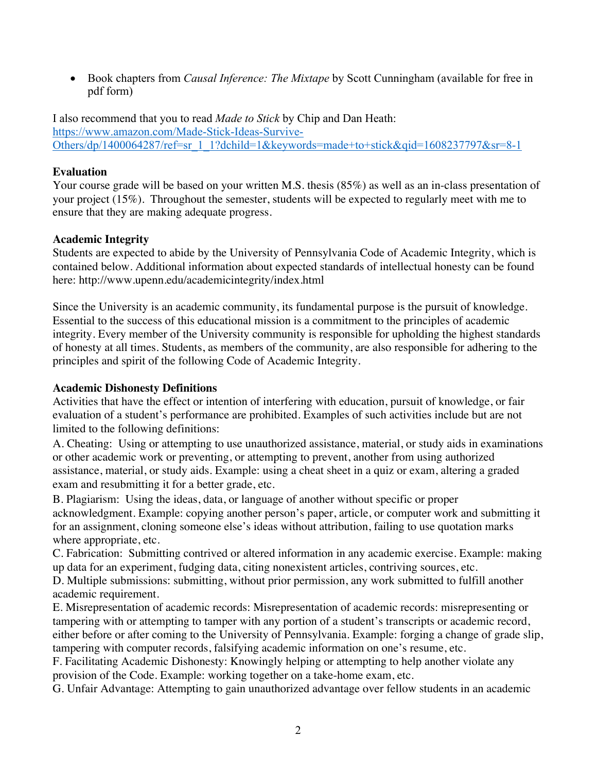• Book chapters from *Causal Inference: The Mixtape* by Scott Cunningham (available for free in pdf form)

I also recommend that you to read *Made to Stick* by Chip and Dan Heath: https://www.amazon.com/Made-Stick-Ideas-Survive-Others/dp/1400064287/ref=sr\_1\_1?dchild=1&keywords=made+to+stick&qid=1608237797&sr=8-1

# **Evaluation**

Your course grade will be based on your written M.S. thesis (85%) as well as an in-class presentation of your project (15%). Throughout the semester, students will be expected to regularly meet with me to ensure that they are making adequate progress.

## **Academic Integrity**

Students are expected to abide by the University of Pennsylvania Code of Academic Integrity, which is contained below. Additional information about expected standards of intellectual honesty can be found here: http://www.upenn.edu/academicintegrity/index.html

Since the University is an academic community, its fundamental purpose is the pursuit of knowledge. Essential to the success of this educational mission is a commitment to the principles of academic integrity. Every member of the University community is responsible for upholding the highest standards of honesty at all times. Students, as members of the community, are also responsible for adhering to the principles and spirit of the following Code of Academic Integrity.

### **Academic Dishonesty Definitions**

Activities that have the effect or intention of interfering with education, pursuit of knowledge, or fair evaluation of a student's performance are prohibited. Examples of such activities include but are not limited to the following definitions:

A. Cheating: Using or attempting to use unauthorized assistance, material, or study aids in examinations or other academic work or preventing, or attempting to prevent, another from using authorized assistance, material, or study aids. Example: using a cheat sheet in a quiz or exam, altering a graded exam and resubmitting it for a better grade, etc.

B. Plagiarism: Using the ideas, data, or language of another without specific or proper acknowledgment. Example: copying another person's paper, article, or computer work and submitting it for an assignment, cloning someone else's ideas without attribution, failing to use quotation marks where appropriate, etc.

C. Fabrication: Submitting contrived or altered information in any academic exercise. Example: making up data for an experiment, fudging data, citing nonexistent articles, contriving sources, etc.

D. Multiple submissions: submitting, without prior permission, any work submitted to fulfill another academic requirement.

E. Misrepresentation of academic records: Misrepresentation of academic records: misrepresenting or tampering with or attempting to tamper with any portion of a student's transcripts or academic record, either before or after coming to the University of Pennsylvania. Example: forging a change of grade slip, tampering with computer records, falsifying academic information on one's resume, etc.

F. Facilitating Academic Dishonesty: Knowingly helping or attempting to help another violate any provision of the Code. Example: working together on a take-home exam, etc.

G. Unfair Advantage: Attempting to gain unauthorized advantage over fellow students in an academic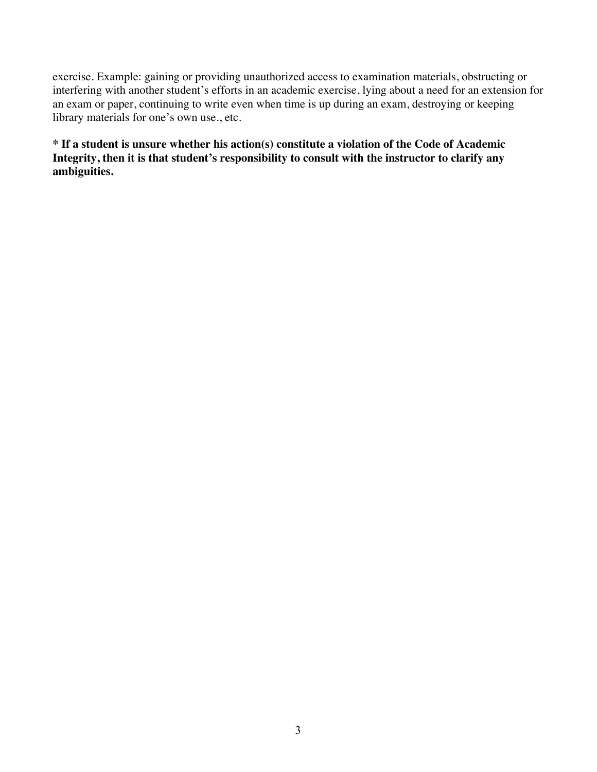exercise. Example: gaining or providing unauthorized access to examination materials, obstructing or interfering with another student's efforts in an academic exercise, lying about a need for an extension for an exam or paper, continuing to write even when time is up during an exam, destroying or keeping library materials for one's own use., etc.

**\* If a student is unsure whether his action(s) constitute a violation of the Code of Academic Integrity, then it is that student's responsibility to consult with the instructor to clarify any ambiguities.**